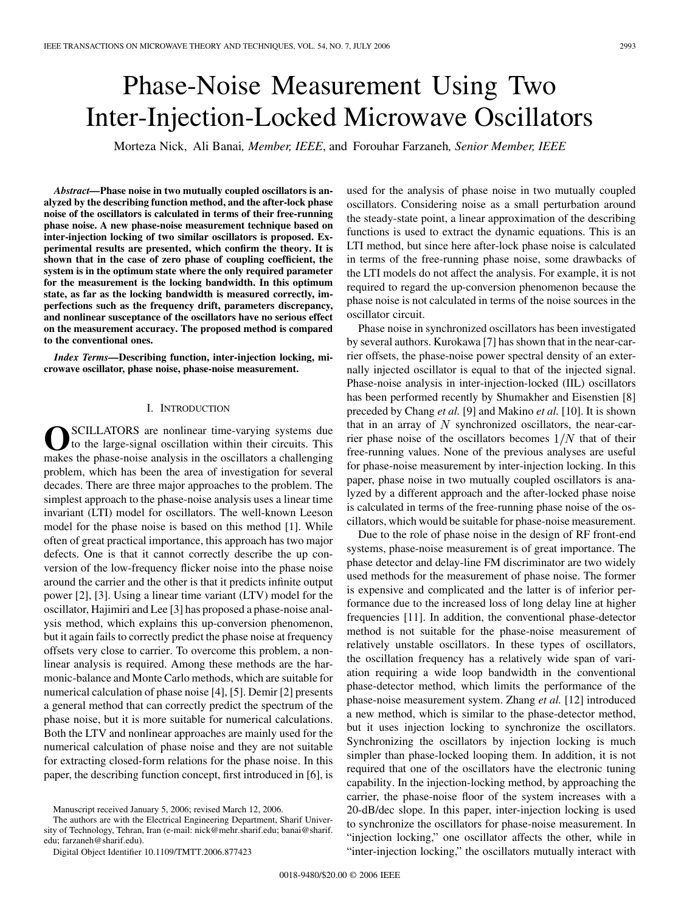# Phase-Noise Measurement Using Two Inter-Injection-Locked Microwave Oscillators

Morteza Nick, Ali Banai*, Member, IEEE*, and Forouhar Farzaneh*, Senior Member, IEEE*

*Abstract—***Phase noise in two mutually coupled oscillators is analyzed by the describing function method, and the after-lock phase noise of the oscillators is calculated in terms of their free-running phase noise. A new phase-noise measurement technique based on inter-injection locking of two similar oscillators is proposed. Experimental results are presented, which confirm the theory. It is shown that in the case of zero phase of coupling coefficient, the system is in the optimum state where the only required parameter for the measurement is the locking bandwidth. In this optimum state, as far as the locking bandwidth is measured correctly, imperfections such as the frequency drift, parameters discrepancy, and nonlinear susceptance of the oscillators have no serious effect on the measurement accuracy. The proposed method is compared to the conventional ones.**

*Index Terms—***Describing function, inter-injection locking, microwave oscillator, phase noise, phase-noise measurement.**

#### I. INTRODUCTION

**O**SCILLATORS are nonlinear time-varying systems due<br>to the large-signal oscillation within their circuits. This makes the phase-noise analysis in the oscillators a challenging problem, which has been the area of investigation for several decades. There are three major approaches to the problem. The simplest approach to the phase-noise analysis uses a linear time invariant (LTI) model for oscillators. The well-known Leeson model for the phase noise is based on this method [\[1\].](#page-7-0) While often of great practical importance, this approach has two major defects. One is that it cannot correctly describe the up conversion of the low-frequency flicker noise into the phase noise around the carrier and the other is that it predicts infinite output power [\[2\], \[3\].](#page-7-0) Using a linear time variant (LTV) model for the oscillator, Hajimiri and Lee [\[3\]](#page-7-0) has proposed a phase-noise analysis method, which explains this up-conversion phenomenon, but it again fails to correctly predict the phase noise at frequency offsets very close to carrier. To overcome this problem, a nonlinear analysis is required. Among these methods are the harmonic-balance and Monte Carlo methods, which are suitable for numerical calculation of phase noise [\[4\]](#page-7-0), [\[5\]](#page-7-0). Demir [\[2\]](#page-7-0) presents a general method that can correctly predict the spectrum of the phase noise, but it is more suitable for numerical calculations. Both the LTV and nonlinear approaches are mainly used for the numerical calculation of phase noise and they are not suitable for extracting closed-form relations for the phase noise. In this paper, the describing function concept, first introduced in [\[6\],](#page-7-0) is

used for the analysis of phase noise in two mutually coupled oscillators. Considering noise as a small perturbation around the steady-state point, a linear approximation of the describing functions is used to extract the dynamic equations. This is an LTI method, but since here after-lock phase noise is calculated in terms of the free-running phase noise, some drawbacks of the LTI models do not affect the analysis. For example, it is not required to regard the up-conversion phenomenon because the phase noise is not calculated in terms of the noise sources in the oscillator circuit.

Phase noise in synchronized oscillators has been investigated by several authors. Kurokawa [\[7\]](#page-7-0) has shown that in the near-carrier offsets, the phase-noise power spectral density of an externally injected oscillator is equal to that of the injected signal. Phase-noise analysis in inter-injection-locked (IIL) oscillators has been performed recently by Shumakher and Eisenstien [\[8\]](#page-7-0) preceded by Chang *et al.* [\[9\]](#page-7-0) and Makino *et al.* [\[10\]](#page-7-0). It is shown that in an array of  $N$  synchronized oscillators, the near-carrier phase noise of the oscillators becomes  $1/N$  that of their free-running values. None of the previous analyses are useful for phase-noise measurement by inter-injection locking. In this paper, phase noise in two mutually coupled oscillators is analyzed by a different approach and the after-locked phase noise is calculated in terms of the free-running phase noise of the oscillators, which would be suitable for phase-noise measurement.

Due to the role of phase noise in the design of RF front-end systems, phase-noise measurement is of great importance. The phase detector and delay-line FM discriminator are two widely used methods for the measurement of phase noise. The former is expensive and complicated and the latter is of inferior performance due to the increased loss of long delay line at higher frequencies [\[11\]](#page-7-0). In addition, the conventional phase-detector method is not suitable for the phase-noise measurement of relatively unstable oscillators. In these types of oscillators, the oscillation frequency has a relatively wide span of variation requiring a wide loop bandwidth in the conventional phase-detector method, which limits the performance of the phase-noise measurement system. Zhang *et al.* [\[12\]](#page-7-0) introduced a new method, which is similar to the phase-detector method, but it uses injection locking to synchronize the oscillators. Synchronizing the oscillators by injection locking is much simpler than phase-locked looping them. In addition, it is not required that one of the oscillators have the electronic tuning capability. In the injection-locking method, by approaching the carrier, the phase-noise floor of the system increases with a 20-dB/dec slope. In this paper, inter-injection locking is used to synchronize the oscillators for phase-noise measurement. In "injection locking," one oscillator affects the other, while in "inter-injection locking," the oscillators mutually interact with

Manuscript received January 5, 2006; revised March 12, 2006.

The authors are with the Electrical Engineering Department, Sharif University of Technology, Tehran, Iran (e-mail: nick@mehr.sharif.edu; banai@sharif. edu; farzaneh@sharif.edu).

Digital Object Identifier 10.1109/TMTT.2006.877423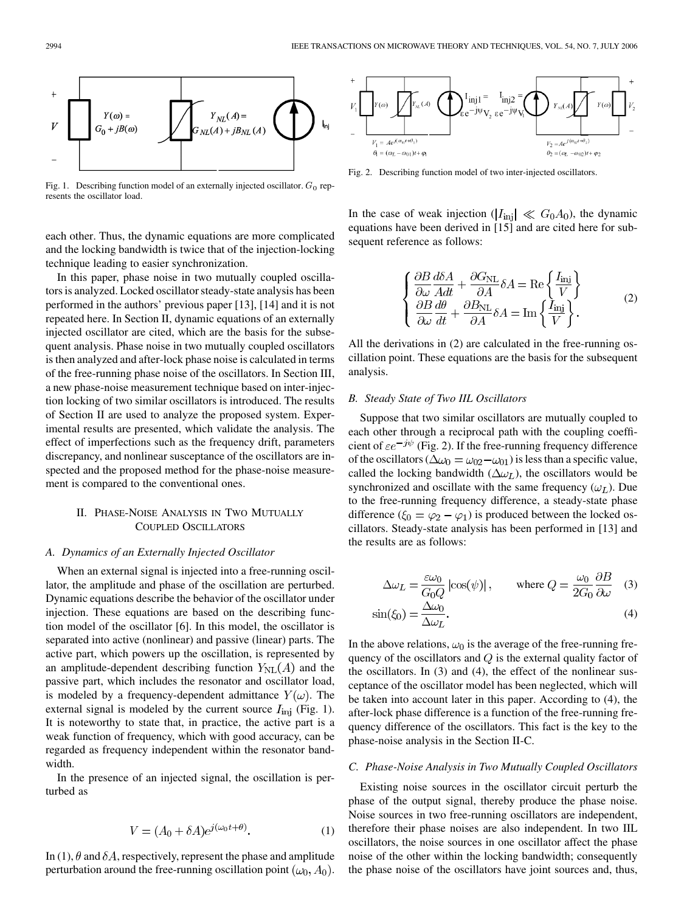<span id="page-1-0"></span>

Fig. 1. Describing function model of an externally injected oscillator.  $G_0$  represents the oscillator load.

each other. Thus, the dynamic equations are more complicated and the locking bandwidth is twice that of the injection-locking technique leading to easier synchronization.

In this paper, phase noise in two mutually coupled oscillators is analyzed. Locked oscillator steady-state analysis has been performed in the authors' previous paper [\[13\], \[14\]](#page-7-0) and it is not repeated here. In Section II, dynamic equations of an externally injected oscillator are cited, which are the basis for the subsequent analysis. Phase noise in two mutually coupled oscillators is then analyzed and after-lock phase noise is calculated in terms of the free-running phase noise of the oscillators. In [Section III](#page-2-0), a new phase-noise measurement technique based on inter-injection locking of two similar oscillators is introduced. The results of Section II are used to analyze the proposed system. Experimental results are presented, which validate the analysis. The effect of imperfections such as the frequency drift, parameters discrepancy, and nonlinear susceptance of the oscillators are inspected and the proposed method for the phase-noise measurement is compared to the conventional ones.

# II. PHASE-NOISE ANALYSIS IN TWO MUTUALLY COUPLED OSCILLATORS

#### *A. Dynamics of an Externally Injected Oscillator*

When an external signal is injected into a free-running oscillator, the amplitude and phase of the oscillation are perturbed. Dynamic equations describe the behavior of the oscillator under injection. These equations are based on the describing function model of the oscillator [\[6\]](#page-7-0). In this model, the oscillator is separated into active (nonlinear) and passive (linear) parts. The active part, which powers up the oscillation, is represented by an amplitude-dependent describing function  $Y_{\text{NL}}(A)$  and the passive part, which includes the resonator and oscillator load, is modeled by a frequency-dependent admittance  $Y(\omega)$ . The external signal is modeled by the current source  $I_{\text{inj}}$  (Fig. 1). It is noteworthy to state that, in practice, the active part is a weak function of frequency, which with good accuracy, can be regarded as frequency independent within the resonator bandwidth.

In the presence of an injected signal, the oscillation is perturbed as

$$
V = (A_0 + \delta A)e^{j(\omega_0 t + \theta)}.
$$
 (1)

In (1),  $\theta$  and  $\delta A$ , respectively, represent the phase and amplitude perturbation around the free-running oscillation point  $(\omega_0, A_0)$ .



Fig. 2. Describing function model of two inter-injected oscillators.

In the case of weak injection ( $|I_{\text{inj}}| \ll G_0 A_0$ ), the dynamic equations have been derived in [\[15\]](#page-7-0) and are cited here for subsequent reference as follows:

$$
\begin{cases}\n\frac{\partial B}{\partial \omega} \frac{d\delta A}{A dt} + \frac{\partial G_{\rm NL}}{\partial A} \delta A = \text{Re} \left\{ \frac{I_{\rm inj}}{V} \right\} \\
\frac{\partial B}{\partial \omega} \frac{d\theta}{dt} + \frac{\partial B_{\rm NL}}{\partial A} \delta A = \text{Im} \left\{ \frac{I_{\rm inj}}{V} \right\}.\n\end{cases} (2)
$$

All the derivations in (2) are calculated in the free-running oscillation point. These equations are the basis for the subsequent analysis.

## *B. Steady State of Two IIL Oscillators*

Suppose that two similar oscillators are mutually coupled to each other through a reciprocal path with the coupling coefficient of  $\epsilon e^{-j\psi}$  (Fig. 2). If the free-running frequency difference of the oscillators ( $\Delta \omega_0 = \omega_{02} - \omega_{01}$ ) is less than a specific value, called the locking bandwidth  $(\Delta \omega_L)$ , the oscillators would be synchronized and oscillate with the same frequency  $(\omega_L)$ . Due to the free-running frequency difference, a steady-state phase difference  $(\xi_0 = \varphi_2 - \varphi_1)$  is produced between the locked oscillators. Steady-state analysis has been performed in [\[13\]](#page-7-0) and the results are as follows:

$$
\Delta \omega_L = \frac{\varepsilon \omega_0}{G_0 Q} \left| \cos(\psi) \right|, \qquad \text{where } Q = \frac{\omega_0}{2G_0} \frac{\partial B}{\partial \omega} \quad (3)
$$

$$
\sin(\xi_0) = \frac{\Delta\omega_0}{\Delta\omega_L}.\tag{4}
$$

In the above relations,  $\omega_0$  is the average of the free-running frequency of the oscillators and  $Q$  is the external quality factor of the oscillators. In (3) and (4), the effect of the nonlinear susceptance of the oscillator model has been neglected, which will be taken into account later in this paper. According to (4), the after-lock phase difference is a function of the free-running frequency difference of the oscillators. This fact is the key to the phase-noise analysis in the Section II-C.

#### *C. Phase-Noise Analysis in Two Mutually Coupled Oscillators*

Existing noise sources in the oscillator circuit perturb the phase of the output signal, thereby produce the phase noise. Noise sources in two free-running oscillators are independent, therefore their phase noises are also independent. In two IIL oscillators, the noise sources in one oscillator affect the phase noise of the other within the locking bandwidth; consequently the phase noise of the oscillators have joint sources and, thus,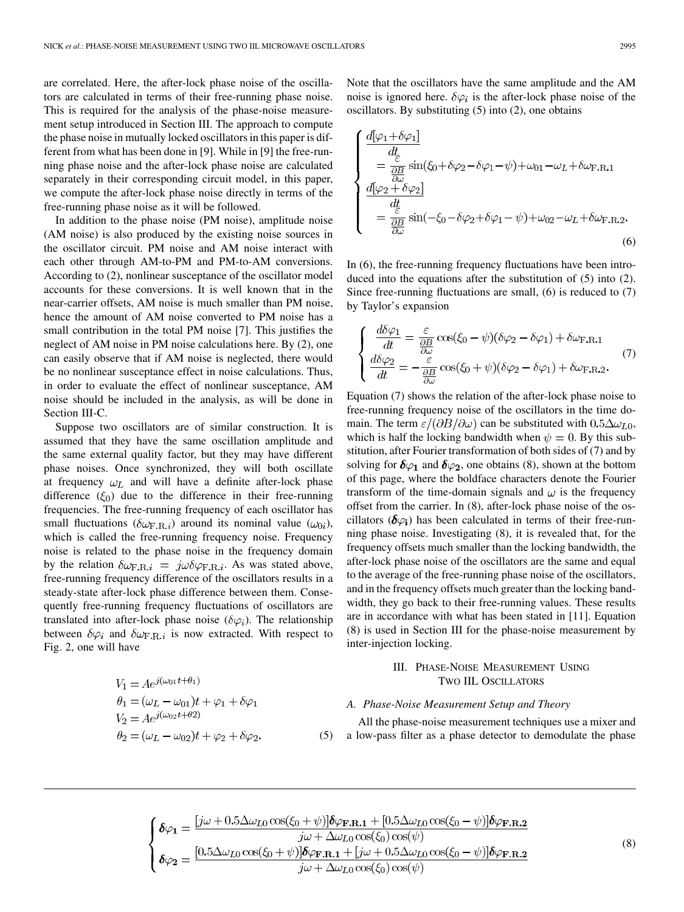<span id="page-2-0"></span>are correlated. Here, the after-lock phase noise of the oscillators are calculated in terms of their free-running phase noise. This is required for the analysis of the phase-noise measurement setup introduced in Section III. The approach to compute the phase noise in mutually locked oscillators in this paper is different from what has been done in [\[9\]](#page-7-0). While in [\[9\]](#page-7-0) the free-running phase noise and the after-lock phase noise are calculated separately in their corresponding circuit model, in this paper, we compute the after-lock phase noise directly in terms of the free-running phase noise as it will be followed.

In addition to the phase noise (PM noise), amplitude noise (AM noise) is also produced by the existing noise sources in the oscillator circuit. PM noise and AM noise interact with each other through AM-to-PM and PM-to-AM conversions. According to [\(2\)](#page-1-0), nonlinear susceptance of the oscillator model accounts for these conversions. It is well known that in the near-carrier offsets, AM noise is much smaller than PM noise, hence the amount of AM noise converted to PM noise has a small contribution in the total PM noise [\[7\].](#page-7-0) This justifies the neglect of AM noise in PM noise calculations here. By [\(2\),](#page-1-0) one can easily observe that if AM noise is neglected, there would be no nonlinear susceptance effect in noise calculations. Thus, in order to evaluate the effect of nonlinear susceptance, AM noise should be included in the analysis, as will be done in [Section III-C.](#page-4-0)

Suppose two oscillators are of similar construction. It is assumed that they have the same oscillation amplitude and the same external quality factor, but they may have different phase noises. Once synchronized, they will both oscillate at frequency  $\omega_L$  and will have a definite after-lock phase difference  $(\xi_0)$  due to the difference in their free-running frequencies. The free-running frequency of each oscillator has small fluctuations ( $\delta \omega_{\text{F.R.}i}$ ) around its nominal value ( $\omega_{0i}$ ), which is called the free-running frequency noise. Frequency noise is related to the phase noise in the frequency domain by the relation  $\delta \omega_{\text{F.R.}i} = j \omega \delta \varphi_{\text{F.R.}i}$ . As was stated above, free-running frequency difference of the oscillators results in a steady-state after-lock phase difference between them. Consequently free-running frequency fluctuations of oscillators are translated into after-lock phase noise ( $\delta \varphi_i$ ). The relationship between  $\delta\varphi_i$  and  $\delta\omega_{\text{F,R},i}$  is now extracted. With respect to [Fig. 2,](#page-1-0) one will have

$$
V_1 = Ae^{j(\omega_{01}t + \theta_1)} \n\theta_1 = (\omega_L - \omega_{01})t + \varphi_1 + \delta\varphi_1 \nV_2 = Ae^{j(\omega_{02}t + \theta_2)} \n\theta_2 = (\omega_L - \omega_{02})t + \varphi_2 + \delta\varphi_2.
$$
\n(5)

Note that the oscillators have the same amplitude and the AM noise is ignored here.  $\delta\varphi_i$  is the after-lock phase noise of the oscillators. By substituting  $(5)$  into  $(2)$ , one obtains

$$
\begin{cases}\n\frac{d[\varphi_1 + \delta \varphi_1]}{dt} \\
= \frac{\frac{\partial B}{\partial B}}{\frac{\partial B}{\partial \omega}} \sin(\xi_0 + \delta \varphi_2 - \delta \varphi_1 - \psi) + \omega_{01} - \omega_L + \delta \omega_{\text{F.R.1}} \\
\frac{d[\varphi_2 + \delta \varphi_2]}{dt} \\
= \frac{\frac{d}{\partial B}}{\frac{\partial B}{\partial \omega}} \sin(-\xi_0 - \delta \varphi_2 + \delta \varphi_1 - \psi) + \omega_{02} - \omega_L + \delta \omega_{\text{F.R.2}}.\n\end{cases}
$$
\n(6)

In (6), the free-running frequency fluctuations have been introduced into the equations after the substitution of (5) into [\(2\).](#page-1-0) Since free-running fluctuations are small, (6) is reduced to (7) by Taylor's expansion

$$
\begin{cases}\n\frac{d\delta\varphi_1}{dt} = \frac{\varepsilon}{\frac{\partial B}{\partial \omega}}\cos(\xi_0 - \psi)(\delta\varphi_2 - \delta\varphi_1) + \delta\omega_{\text{F.R.1}} \\
\frac{d\delta\varphi_2}{dt} = -\frac{\varepsilon}{\frac{\partial B}{\partial \omega}}\cos(\xi_0 + \psi)(\delta\varphi_2 - \delta\varphi_1) + \delta\omega_{\text{F.R.2}}.\n\end{cases} (7)
$$

Equation (7) shows the relation of the after-lock phase noise to free-running frequency noise of the oscillators in the time domain. The term  $\varepsilon/(\partial B/\partial \omega)$  can be substituted with  $0.5\Delta \omega_{L0}$ , which is half the locking bandwidth when  $\psi = 0$ . By this substitution, after Fourier transformation of both sides of (7) and by solving for  $\delta\varphi_1$  and  $\delta\varphi_2$ , one obtains (8), shown at the bottom of this page, where the boldface characters denote the Fourier transform of the time-domain signals and  $\omega$  is the frequency offset from the carrier. In (8), after-lock phase noise of the oscillators ( $\delta \varphi_i$ ) has been calculated in terms of their free-running phase noise. Investigating (8), it is revealed that, for the frequency offsets much smaller than the locking bandwidth, the after-lock phase noise of the oscillators are the same and equal to the average of the free-running phase noise of the oscillators, and in the frequency offsets much greater than the locking bandwidth, they go back to their free-running values. These results are in accordance with what has been stated in [\[11\].](#page-7-0) Equation (8) is used in Section III for the phase-noise measurement by inter-injection locking.

## III. PHASE-NOISE MEASUREMENT USING TWO IIL OSCILLATORS

### *A. Phase-Noise Measurement Setup and Theory*

All the phase-noise measurement techniques use a mixer and a low-pass filter as a phase detector to demodulate the phase

$$
\left\{ \begin{aligned} \pmb{\delta}\varphi_{1} & = \frac{[j\omega+0.5\Delta\omega_{L0}\cos(\xi_{0}+\psi)]\pmb{\delta}\varphi_{\text{F.R.1}}+[0.5\Delta\omega_{L0}\cos(\xi_{0}-\psi)]\pmb{\delta}\varphi_{\text{F.R.2}}}{j\omega+\Delta\omega_{L0}\cos(\xi_{0})\cos(\psi)} \\ \pmb{\delta}\varphi_{2} & = \frac{[0.5\Delta\omega_{L0}\cos(\xi_{0}+\psi)]\pmb{\delta}\varphi_{\text{F.R.1}}+[j\omega+0.5\Delta\omega_{L0}\cos(\xi_{0}-\psi)]\pmb{\delta}\varphi_{\text{F.R.2}}}{j\omega+\Delta\omega_{L0}\cos(\xi_{0})\cos(\psi)} \end{aligned} \right.
$$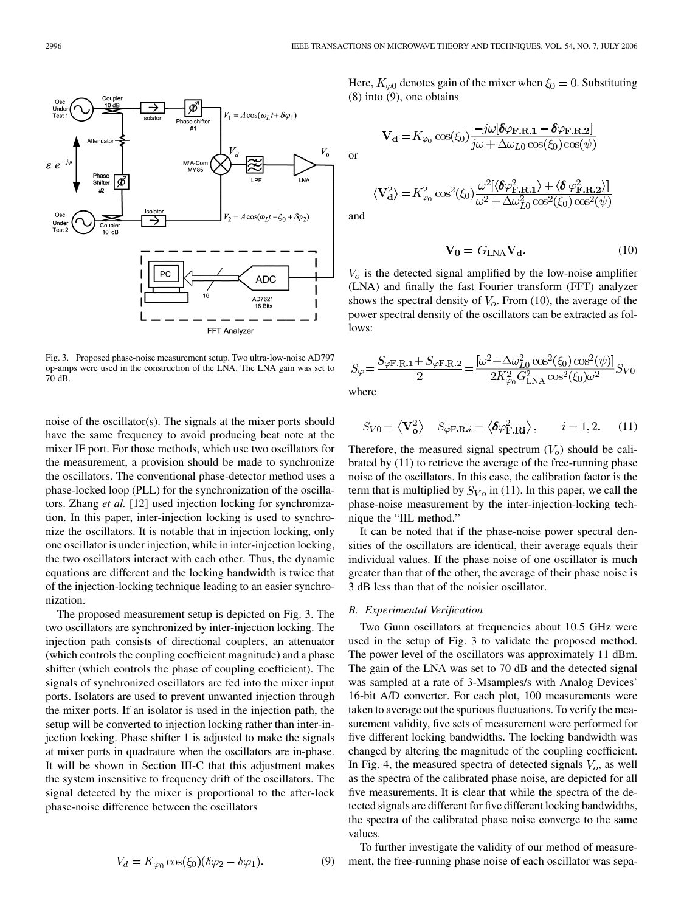<span id="page-3-0"></span>

Fig. 3. Proposed phase-noise measurement setup. Two ultra-low-noise AD797 op-amps were used in the construction of the LNA. The LNA gain was set to 70 dB.

noise of the oscillator(s). The signals at the mixer ports should have the same frequency to avoid producing beat note at the mixer IF port. For those methods, which use two oscillators for the measurement, a provision should be made to synchronize the oscillators. The conventional phase-detector method uses a phase-locked loop (PLL) for the synchronization of the oscillators. Zhang *et al.* [\[12\]](#page-7-0) used injection locking for synchronization. In this paper, inter-injection locking is used to synchronize the oscillators. It is notable that in injection locking, only one oscillator is under injection, while in inter-injection locking, the two oscillators interact with each other. Thus, the dynamic equations are different and the locking bandwidth is twice that of the injection-locking technique leading to an easier synchronization.

The proposed measurement setup is depicted on Fig. 3. The two oscillators are synchronized by inter-injection locking. The injection path consists of directional couplers, an attenuator (which controls the coupling coefficient magnitude) and a phase shifter (which controls the phase of coupling coefficient). The signals of synchronized oscillators are fed into the mixer input ports. Isolators are used to prevent unwanted injection through the mixer ports. If an isolator is used in the injection path, the setup will be converted to injection locking rather than inter-injection locking. Phase shifter 1 is adjusted to make the signals at mixer ports in quadrature when the oscillators are in-phase. It will be shown in [Section III-C](#page-4-0) that this adjustment makes the system insensitive to frequency drift of the oscillators. The signal detected by the mixer is proportional to the after-lock phase-noise difference between the oscillators

> $V_d = K_{\varphi_0} \cos(\xi_0) (\delta \varphi_2 - \delta \varphi_1).$ (9)

Here,  $K_{\varphi 0}$  denotes gain of the mixer when  $\xi_0 = 0$ . Substituting [\(8\)](#page-2-0) into (9), one obtains

$$
\mathbf{V}_{\mathbf{d}} = K_{\varphi_0} \cos(\xi_0) \frac{-j\omega[\delta\varphi_{\mathbf{F.R.1}} - \delta\varphi_{\mathbf{F.R.2}}]}{j\omega + \Delta\omega_{L0} \cos(\xi_0) \cos(\psi)}
$$

$$
\langle \mathbf{V}_{\mathbf{d}}^2 \rangle = K_{\varphi_0}^2 \cos^2(\xi_0) \frac{\omega^2 [\langle \delta \varphi_{\mathbf{F.R.1}}^2 \rangle + \langle \delta \varphi_{\mathbf{F.R.2}}^2 \rangle]}{\omega^2 + \Delta \omega_{L0}^2 \cos^2(\xi_0) \cos^2(\psi)}
$$

and

$$
\mathbf{V_0} = G_{\text{LNA}} \mathbf{V_d}.\tag{10}
$$

 $V<sub>o</sub>$  is the detected signal amplified by the low-noise amplifier (LNA) and finally the fast Fourier transform (FFT) analyzer shows the spectral density of  $V<sub>o</sub>$ . From (10), the average of the power spectral density of the oscillators can be extracted as follows:

$$
S_{\varphi} \!=\! \frac{S_{\varphi \rm F.R.1}\! + S_{\varphi \rm F.R.2}}{2} \!=\! \frac{[\omega^2 \!+\! \Delta\omega_{L0}^2\cos^2(\xi_0)\cos^2(\psi)]}{2K_{\varphi_0}^2G_{\rm LNA}^2\cos^2(\xi_0)\omega^2} S_{V0}
$$

where

$$
S_{V0} = \langle \mathbf{V}_{\mathbf{o}}^2 \rangle \quad S_{\varphi \mathbf{F.R.}i} = \langle \boldsymbol{\delta} \varphi_{\mathbf{F.Ri}}^2 \rangle, \qquad i = 1, 2. \tag{11}
$$

Therefore, the measured signal spectrum  $(V<sub>o</sub>)$  should be calibrated by (11) to retrieve the average of the free-running phase noise of the oscillators. In this case, the calibration factor is the term that is multiplied by  $S_{V_0}$  in (11). In this paper, we call the phase-noise measurement by the inter-injection-locking technique the "IIL method."

It can be noted that if the phase-noise power spectral densities of the oscillators are identical, their average equals their individual values. If the phase noise of one oscillator is much greater than that of the other, the average of their phase noise is 3 dB less than that of the noisier oscillator.

## *B. Experimental Verification*

Two Gunn oscillators at frequencies about 10.5 GHz were used in the setup of Fig. 3 to validate the proposed method. The power level of the oscillators was approximately 11 dBm. The gain of the LNA was set to 70 dB and the detected signal was sampled at a rate of 3-Msamples/s with Analog Devices' 16-bit A/D converter. For each plot, 100 measurements were taken to average out the spurious fluctuations. To verify the measurement validity, five sets of measurement were performed for five different locking bandwidths. The locking bandwidth was changed by altering the magnitude of the coupling coefficient. In [Fig. 4,](#page-4-0) the measured spectra of detected signals  $V<sub>o</sub>$ , as well as the spectra of the calibrated phase noise, are depicted for all five measurements. It is clear that while the spectra of the detected signals are different for five different locking bandwidths, the spectra of the calibrated phase noise converge to the same values.

To further investigate the validity of our method of measurement, the free-running phase noise of each oscillator was sepa-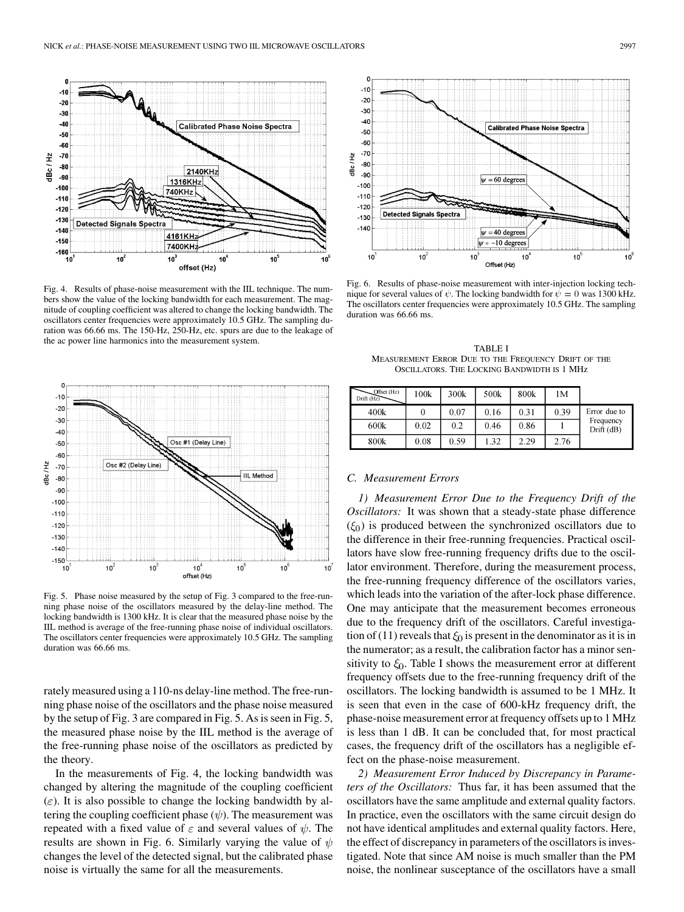<span id="page-4-0"></span>

Fig. 4. Results of phase-noise measurement with the IIL technique. The numbers show the value of the locking bandwidth for each measurement. The magnitude of coupling coefficient was altered to change the locking bandwidth. The oscillators center frequencies were approximately 10.5 GHz. The sampling duration was 66.66 ms. The 150-Hz, 250-Hz, etc. spurs are due to the leakage of the ac power line harmonics into the measurement system.



Fig. 5. Phase noise measured by the setup of [Fig. 3](#page-3-0) compared to the free-running phase noise of the oscillators measured by the delay-line method. The locking bandwidth is 1300 kHz. It is clear that the measured phase noise by the IIL method is average of the free-running phase noise of individual oscillators. The oscillators center frequencies were approximately 10.5 GHz. The sampling duration was 66.66 ms.

rately measured using a 110-ns delay-line method. The free-running phase noise of the oscillators and the phase noise measured by the setup of [Fig. 3](#page-3-0) are compared in Fig. 5. As is seen in Fig. 5, the measured phase noise by the IIL method is the average of the free-running phase noise of the oscillators as predicted by the theory.

In the measurements of Fig. 4, the locking bandwidth was changed by altering the magnitude of the coupling coefficient  $(\varepsilon)$ . It is also possible to change the locking bandwidth by altering the coupling coefficient phase  $(\psi)$ . The measurement was repeated with a fixed value of  $\varepsilon$  and several values of  $\psi$ . The results are shown in Fig. 6. Similarly varying the value of  $\psi$ changes the level of the detected signal, but the calibrated phase noise is virtually the same for all the measurements.



Fig. 6. Results of phase-noise measurement with inter-injection locking technique for several values of  $\psi$ . The locking bandwidth for  $\psi = 0$  was 1300 kHz. The oscillators center frequencies were approximately 10.5 GHz. The sampling duration was 66.66 ms.

TABLE I MEASUREMENT ERROR DUE TO THE FREQUENCY DRIFT OF THE OSCILLATORS. THE LOCKING BANDWIDTH IS 1 MHz

| $Offset$ (Hz)<br>Drift (Hz) | 100k | 300k | 500k | 800k | 1М   |                               |
|-----------------------------|------|------|------|------|------|-------------------------------|
| 400k                        |      | 0.07 | 0.16 | 0.31 | 0.39 | Error due to                  |
| 600k                        | 0.02 | 0.2  | 0.46 | 0.86 |      | Frequency<br>$Drift$ ( $dB$ ) |
| 800k                        | 0.08 | 0.59 | 1.32 | 2.29 | 2.76 |                               |

## *C. Measurement Errors*

*1) Measurement Error Due to the Frequency Drift of the Oscillators:* It was shown that a steady-state phase difference  $(\xi_0)$  is produced between the synchronized oscillators due to the difference in their free-running frequencies. Practical oscillators have slow free-running frequency drifts due to the oscillator environment. Therefore, during the measurement process, the free-running frequency difference of the oscillators varies, which leads into the variation of the after-lock phase difference. One may anticipate that the measurement becomes erroneous due to the frequency drift of the oscillators. Careful investiga-tion of [\(11\)](#page-3-0) reveals that  $\xi_0$  is present in the denominator as it is in the numerator; as a result, the calibration factor has a minor sensitivity to  $\xi_0$ . Table I shows the measurement error at different frequency offsets due to the free-running frequency drift of the oscillators. The locking bandwidth is assumed to be 1 MHz. It is seen that even in the case of 600-kHz frequency drift, the phase-noise measurement error at frequency offsets up to 1 MHz is less than 1 dB. It can be concluded that, for most practical cases, the frequency drift of the oscillators has a negligible effect on the phase-noise measurement.

*2) Measurement Error Induced by Discrepancy in Parameters of the Oscillators:* Thus far, it has been assumed that the oscillators have the same amplitude and external quality factors. In practice, even the oscillators with the same circuit design do not have identical amplitudes and external quality factors. Here, the effect of discrepancy in parameters of the oscillators is investigated. Note that since AM noise is much smaller than the PM noise, the nonlinear susceptance of the oscillators have a small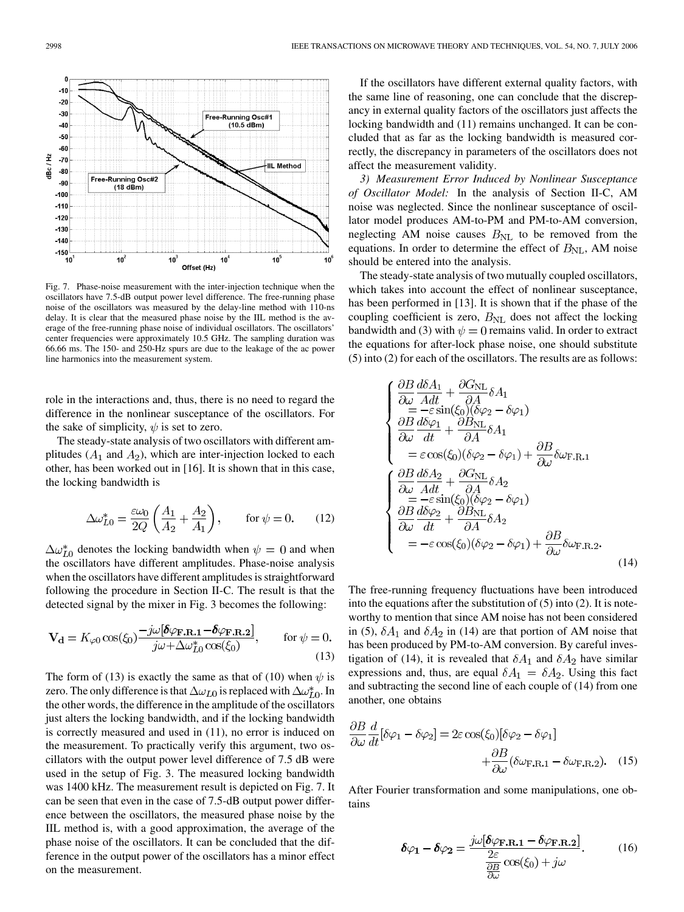<span id="page-5-0"></span>

Fig. 7. Phase-noise measurement with the inter-injection technique when the oscillators have 7.5-dB output power level difference. The free-running phase noise of the oscillators was measured by the delay-line method with 110-ns delay. It is clear that the measured phase noise by the IIL method is the average of the free-running phase noise of individual oscillators. The oscillators' center frequencies were approximately 10.5 GHz. The sampling duration was 66.66 ms. The 150- and 250-Hz spurs are due to the leakage of the ac power line harmonics into the measurement system.

role in the interactions and, thus, there is no need to regard the difference in the nonlinear susceptance of the oscillators. For the sake of simplicity,  $\psi$  is set to zero.

The steady-state analysis of two oscillators with different amplitudes  $(A_1$  and  $A_2$ ), which are inter-injection locked to each other, has been worked out in [\[16\].](#page-7-0) It is shown that in this case, the locking bandwidth is

$$
\Delta \omega_{L0}^* = \frac{\varepsilon \omega_0}{2Q} \left( \frac{A_1}{A_2} + \frac{A_2}{A_1} \right), \qquad \text{for } \psi = 0. \tag{12}
$$

 $\Delta \omega_{L0}^*$  denotes the locking bandwidth when  $\psi = 0$  and when the oscillators have different amplitudes. Phase-noise analysis when the oscillators have different amplitudes is straightforward following the procedure in [Section II-C.](#page-1-0) The result is that the detected signal by the mixer in [Fig. 3](#page-3-0) becomes the following:

$$
\mathbf{V}_{\mathbf{d}} = K_{\varphi 0} \cos(\xi_{0}) \frac{-j\omega[\delta\varphi_{\mathbf{F.R.1}} - \delta\varphi_{\mathbf{F.R.2}}]}{j\omega + \Delta\omega_{L0}^{*} \cos(\xi_{0})}, \quad \text{for } \psi = 0.
$$
\n(13)

The form of (13) is exactly the same as that of [\(10\)](#page-3-0) when  $\psi$  is zero. The only difference is that  $\Delta \omega_{L0}$  is replaced with  $\Delta \omega_{L0}^*$ . In the other words, the difference in the amplitude of the oscillators just alters the locking bandwidth, and if the locking bandwidth is correctly measured and used in [\(11\)](#page-3-0), no error is induced on the measurement. To practically verify this argument, two oscillators with the output power level difference of 7.5 dB were used in the setup of [Fig. 3.](#page-3-0) The measured locking bandwidth was 1400 kHz. The measurement result is depicted on Fig. 7. It can be seen that even in the case of 7.5-dB output power difference between the oscillators, the measured phase noise by the IIL method is, with a good approximation, the average of the phase noise of the oscillators. It can be concluded that the difference in the output power of the oscillators has a minor effect on the measurement.

If the oscillators have different external quality factors, with the same line of reasoning, one can conclude that the discrepancy in external quality factors of the oscillators just affects the locking bandwidth and [\(11\)](#page-3-0) remains unchanged. It can be concluded that as far as the locking bandwidth is measured correctly, the discrepancy in parameters of the oscillators does not affect the measurement validity.

*3) Measurement Error Induced by Nonlinear Susceptance of Oscillator Model:* In the analysis of [Section II-C](#page-1-0), AM noise was neglected. Since the nonlinear susceptance of oscillator model produces AM-to-PM and PM-to-AM conversion, neglecting AM noise causes  $B<sub>NL</sub>$  to be removed from the equations. In order to determine the effect of  $B_{NL}$ , AM noise should be entered into the analysis.

The steady-state analysis of two mutually coupled oscillators, which takes into account the effect of nonlinear susceptance, has been performed in [\[13\].](#page-7-0) It is shown that if the phase of the coupling coefficient is zero,  $B<sub>NL</sub>$  does not affect the locking bandwidth and [\(3\)](#page-1-0) with  $\psi = 0$  remains valid. In order to extract the equations for after-lock phase noise, one should substitute [\(5\)](#page-2-0) into [\(2\)](#page-1-0) for each of the oscillators. The results are as follows:

$$
\begin{cases}\n\frac{\partial B}{\partial \omega} \frac{d\delta A_1}{Adt} + \frac{\partial G_{\text{NL}}}{\partial A} \delta A_1 \\
= -\varepsilon \sin(\xi_0)(\delta \varphi_2 - \delta \varphi_1) \\
\frac{\partial B}{\partial \omega} \frac{d\delta \varphi_1}{dt} + \frac{\partial B_{\text{NL}}}{\partial A} \delta A_1 \\
= \varepsilon \cos(\xi_0)(\delta \varphi_2 - \delta \varphi_1) + \frac{\partial B}{\partial \omega} \delta \omega_{\text{F.R.1}} \\
\frac{\partial B}{\partial \omega} \frac{d\delta A_2}{Adt} + \frac{\partial G_{\text{NL}}}{\partial A} \delta A_2 \\
= -\varepsilon \sin(\xi_0)(\delta \varphi_2 - \delta \varphi_1) \\
\frac{\partial B}{\partial \omega} \frac{d\delta \varphi_2}{dt} + \frac{\partial B_{\text{NL}}}{\partial A} \delta A_2 \\
= -\varepsilon \cos(\xi_0)(\delta \varphi_2 - \delta \varphi_1) + \frac{\partial B}{\partial \omega} \delta \omega_{\text{F.R.2}}.\n\end{cases}
$$
\n(14)

The free-running frequency fluctuations have been introduced into the equations after the substitution of [\(5\)](#page-2-0) into [\(2\).](#page-1-0) It is noteworthy to mention that since AM noise has not been considered in [\(5\)](#page-2-0),  $\delta A_1$  and  $\delta A_2$  in (14) are that portion of AM noise that has been produced by PM-to-AM conversion. By careful investigation of (14), it is revealed that  $\delta A_1$  and  $\delta A_2$  have similar expressions and, thus, are equal  $\delta A_1 = \delta A_2$ . Using this fact and subtracting the second line of each couple of (14) from one another, one obtains

$$
\frac{\partial B}{\partial \omega} \frac{d}{dt} [\delta \varphi_1 - \delta \varphi_2] = 2\varepsilon \cos(\xi_0) [\delta \varphi_2 - \delta \varphi_1] + \frac{\partial B}{\partial \omega} (\delta \omega_{F.R.1} - \delta \omega_{F.R.2}).
$$
 (15)

After Fourier transformation and some manipulations, one obtains

$$
\delta\varphi_1 - \delta\varphi_2 = \frac{j\omega[\delta\varphi_{\mathbf{F.R.1}} - \delta\varphi_{\mathbf{F.R.2}}]}{\frac{2\varepsilon}{\frac{\partial B}{\partial \omega}}\cos(\xi_0) + j\omega}.
$$
 (16)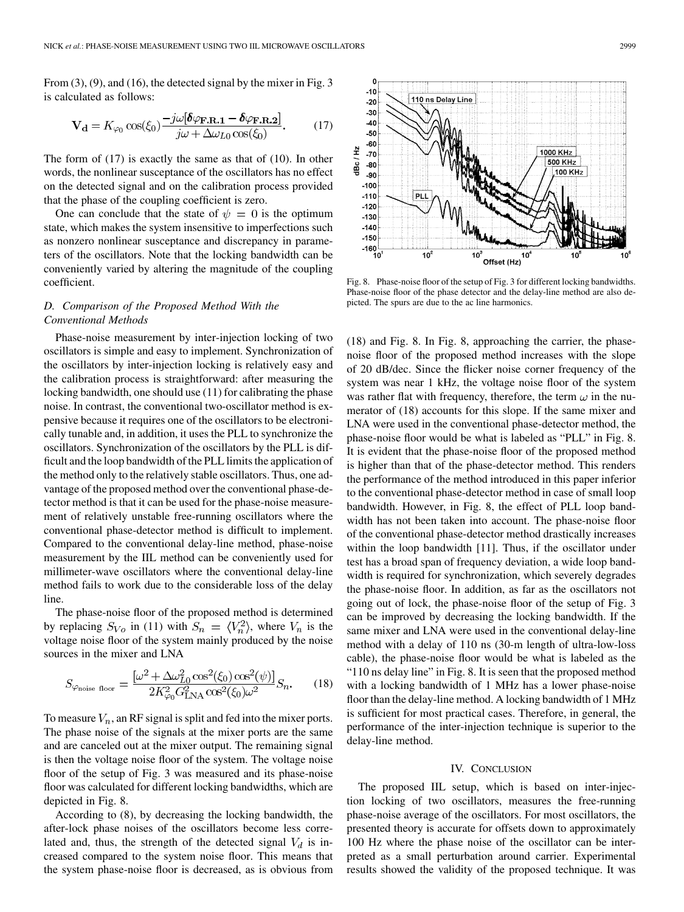From  $(3)$ ,  $(9)$ , and  $(16)$ , the detected signal by the mixer in [Fig. 3](#page-3-0) is calculated as follows:

$$
\mathbf{V}_{\mathbf{d}} = K_{\varphi_0} \cos(\xi_0) \frac{-j\omega[\boldsymbol{\delta}\varphi_{\mathbf{F.R.1}} - \boldsymbol{\delta}\varphi_{\mathbf{F.R.2}}]}{j\omega + \Delta\omega_{L0} \cos(\xi_0)}.
$$
(17)

The form of (17) is exactly the same as that of [\(10\)](#page-3-0). In other words, the nonlinear susceptance of the oscillators has no effect on the detected signal and on the calibration process provided that the phase of the coupling coefficient is zero.

One can conclude that the state of  $\psi = 0$  is the optimum state, which makes the system insensitive to imperfections such as nonzero nonlinear susceptance and discrepancy in parameters of the oscillators. Note that the locking bandwidth can be conveniently varied by altering the magnitude of the coupling coefficient.

# *D. Comparison of the Proposed Method With the Conventional Methods*

Phase-noise measurement by inter-injection locking of two oscillators is simple and easy to implement. Synchronization of the oscillators by inter-injection locking is relatively easy and the calibration process is straightforward: after measuring the locking bandwidth, one should use [\(11\)](#page-3-0) for calibrating the phase noise. In contrast, the conventional two-oscillator method is expensive because it requires one of the oscillators to be electronically tunable and, in addition, it uses the PLL to synchronize the oscillators. Synchronization of the oscillators by the PLL is difficult and the loop bandwidth of the PLL limits the application of the method only to the relatively stable oscillators. Thus, one advantage of the proposed method over the conventional phase-detector method is that it can be used for the phase-noise measurement of relatively unstable free-running oscillators where the conventional phase-detector method is difficult to implement. Compared to the conventional delay-line method, phase-noise measurement by the IIL method can be conveniently used for millimeter-wave oscillators where the conventional delay-line method fails to work due to the considerable loss of the delay line.

The phase-noise floor of the proposed method is determined by replacing  $S_{V_0}$  in [\(11\)](#page-3-0) with  $S_n = \langle V_n^2 \rangle$ , where  $V_n$  is the voltage noise floor of the system mainly produced by the noise sources in the mixer and LNA

$$
S_{\varphi_{\text{noise floor}}} = \frac{[\omega^2 + \Delta \omega_{L0}^2 \cos^2(\xi_0) \cos^2(\psi)]}{2K_{\varphi_0}^2 G_{\text{LNA}}^2 \cos^2(\xi_0) \omega^2} S_n.
$$
 (18)

To measure  $V_n$ , an RF signal is split and fed into the mixer ports. The phase noise of the signals at the mixer ports are the same and are canceled out at the mixer output. The remaining signal is then the voltage noise floor of the system. The voltage noise floor of the setup of [Fig. 3](#page-3-0) was measured and its phase-noise floor was calculated for different locking bandwidths, which are depicted in Fig. 8.

According to [\(8\),](#page-2-0) by decreasing the locking bandwidth, the after-lock phase noises of the oscillators become less correlated and, thus, the strength of the detected signal  $V_d$  is increased compared to the system noise floor. This means that the system phase-noise floor is decreased, as is obvious from



Fig. 8. Phase-noise floor of the setup of [Fig. 3](#page-3-0) for different locking bandwidths. Phase-noise floor of the phase detector and the delay-line method are also depicted. The spurs are due to the ac line harmonics.

(18) and Fig. 8. In Fig. 8, approaching the carrier, the phasenoise floor of the proposed method increases with the slope of 20 dB/dec. Since the flicker noise corner frequency of the system was near 1 kHz, the voltage noise floor of the system was rather flat with frequency, therefore, the term  $\omega$  in the numerator of (18) accounts for this slope. If the same mixer and LNA were used in the conventional phase-detector method, the phase-noise floor would be what is labeled as "PLL" in Fig. 8. It is evident that the phase-noise floor of the proposed method is higher than that of the phase-detector method. This renders the performance of the method introduced in this paper inferior to the conventional phase-detector method in case of small loop bandwidth. However, in Fig. 8, the effect of PLL loop bandwidth has not been taken into account. The phase-noise floor of the conventional phase-detector method drastically increases within the loop bandwidth [\[11\]](#page-7-0). Thus, if the oscillator under test has a broad span of frequency deviation, a wide loop bandwidth is required for synchronization, which severely degrades the phase-noise floor. In addition, as far as the oscillators not going out of lock, the phase-noise floor of the setup of [Fig. 3](#page-3-0) can be improved by decreasing the locking bandwidth. If the same mixer and LNA were used in the conventional delay-line method with a delay of 110 ns (30-m length of ultra-low-loss cable), the phase-noise floor would be what is labeled as the "110 ns delay line" in Fig. 8. It is seen that the proposed method with a locking bandwidth of 1 MHz has a lower phase-noise floor than the delay-line method. A locking bandwidth of 1 MHz is sufficient for most practical cases. Therefore, in general, the performance of the inter-injection technique is superior to the delay-line method.

#### IV. CONCLUSION

The proposed IIL setup, which is based on inter-injection locking of two oscillators, measures the free-running phase-noise average of the oscillators. For most oscillators, the presented theory is accurate for offsets down to approximately 100 Hz where the phase noise of the oscillator can be interpreted as a small perturbation around carrier. Experimental results showed the validity of the proposed technique. It was